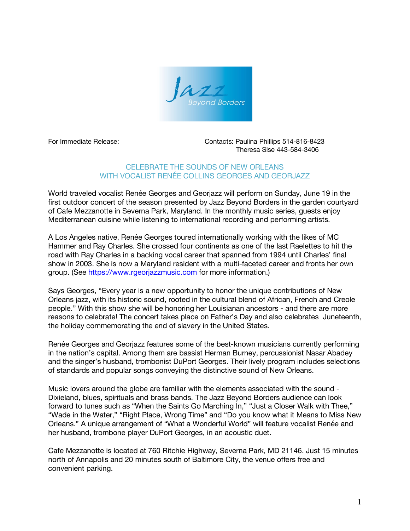

For Immediate Release: Contacts: Paulina Phillips 514-816-8423 Theresa Sise 443-584-3406

## CELEBRATE THE SOUNDS OF NEW ORLEANS WITH VOCALIST RENÉE COLLINS GEORGES AND GEORJAZZ

World traveled vocalist Renée Georges and Georjazz will perform on Sunday, June 19 in the first outdoor concert of the season presented by Jazz Beyond Borders in the garden courtyard of Cafe Mezzanotte in Severna Park, Maryland. In the monthly music series, guests enjoy Mediterranean cuisine while listening to international recording and performing artists.

A Los Angeles native, Renée Georges toured internationally working with the likes of MC Hammer and Ray Charles. She crossed four continents as one of the last Raelettes to hit the road with Ray Charles in a backing vocal career that spanned from 1994 until Charles' final show in 2003. She is now a Maryland resident with a multi-faceted career and fronts her own group. (See https://www.rgeorjazzmusic.com for more information.)

Says Georges, "Every year is a new opportunity to honor the unique contributions of New Orleans jazz, with its historic sound, rooted in the cultural blend of African, French and Creole people." With this show she will be honoring her Louisianan ancestors - and there are more reasons to celebrate! The concert takes place on Father's Day and also celebrates Juneteenth, the holiday commemorating the end of slavery in the United States.

Renée Georges and Georjazz features some of the best-known musicians currently performing in the nation's capital. Among them are bassist Herman Burney, percussionist Nasar Abadey and the singer's husband, trombonist DuPort Georges. Their lively program includes selections of standards and popular songs conveying the distinctive sound of New Orleans.

Music lovers around the globe are familiar with the elements associated with the sound - Dixieland, blues, spirituals and brass bands. The Jazz Beyond Borders audience can look forward to tunes such as "When the Saints Go Marching In," "Just a Closer Walk with Thee," "Wade in the Water," "Right Place, Wrong Time" and "Do you know what it Means to Miss New Orleans." A unique arrangement of "What a Wonderful World" will feature vocalist Renée and her husband, trombone player DuPort Georges, in an acoustic duet.

Cafe Mezzanotte is located at 760 Ritchie Highway, Severna Park, MD 21146. Just 15 minutes north of Annapolis and 20 minutes south of Baltimore City, the venue offers free and convenient parking.